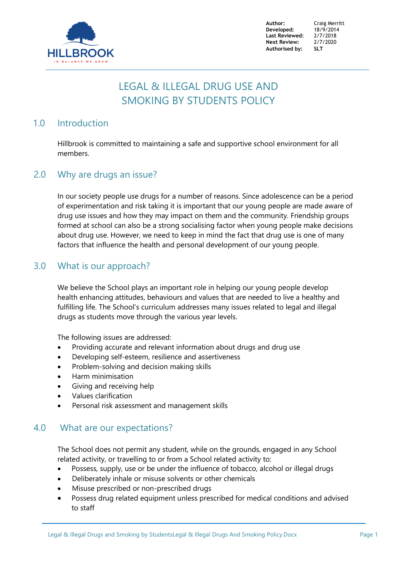

Author: Craig Merritt<br>Developed: 18/9/2014 **Developed:** 18/9/2014 **Last Reviewed: Next Review:** 2/7/2020 **Authorised by: SLT**

# LEGAL & ILLEGAL DRUG USE AND SMOKING BY STUDENTS POLICY

#### 1.0 Introduction

Hillbrook is committed to maintaining a safe and supportive school environment for all members.

#### 2.0 Why are drugs an issue?

In our society people use drugs for a number of reasons. Since adolescence can be a period of experimentation and risk taking it is important that our young people are made aware of drug use issues and how they may impact on them and the community. Friendship groups formed at school can also be a strong socialising factor when young people make decisions about drug use. However, we need to keep in mind the fact that drug use is one of many factors that influence the health and personal development of our young people.

#### 3.0 What is our approach?

We believe the School plays an important role in helping our young people develop health enhancing attitudes, behaviours and values that are needed to live a healthy and fulfilling life. The School's curriculum addresses many issues related to legal and illegal drugs as students move through the various year levels.

The following issues are addressed:

- Providing accurate and relevant information about drugs and drug use
- Developing self-esteem, resilience and assertiveness
- Problem-solving and decision making skills
- Harm minimisation
- Giving and receiving help
- Values clarification
- Personal risk assessment and management skills

## 4.0 What are our expectations?

The School does not permit any student, while on the grounds, engaged in any School related activity, or travelling to or from a School related activity to:

- Possess, supply, use or be under the influence of tobacco, alcohol or illegal drugs
- Deliberately inhale or misuse solvents or other chemicals
- Misuse prescribed or non-prescribed drugs
- Possess drug related equipment unless prescribed for medical conditions and advised to staff